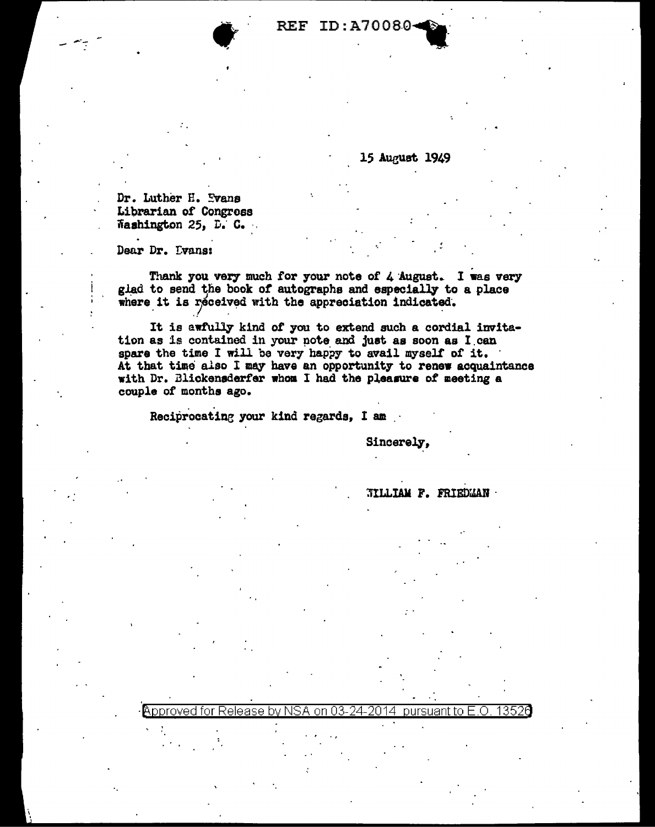**REF ID:A70080-**

15 August 1949

Dr. Luther H. Evans Librarian of Congress Washington 25, D. C.

Dear Dr. Dvans:

Thank you very much for your note of 4 August. I was very glad to send the book of autographs and especially to a place where it is received with the appreciation indicated.

It is awfully kind of you to extend such a cordial invitation as is contained in your note and just as soon as I can spare the time I will be very happy to avail myself of it. At that time also I may have an opportunity to renew acquaintance with Dr. Blickensderfer whom I had the pleasure of meeting a couple of months ago.

on 03

24.

Reciprocating your kind regards, I am

Approved for Release by N

Sincerely,

**TILLIAM F. FRIEDMAN ·** 

pursuant to E.O.

13526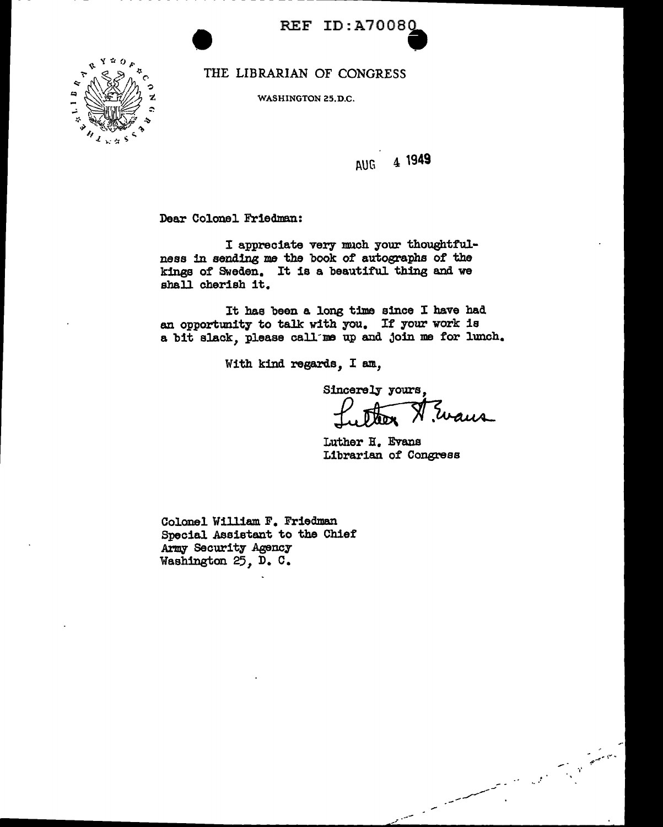

THE LIBRARIAN OF CONGRESS

WASHINGTON 25.D.C.



l\UG 4 **1949** 

Dear Colonel Friedman:

I appreciate very much your thoughtfulness in sending me the book of autographs of the kings of Sweden. It is a beautiful thing and we shall cherish it.

It has been a long time since I have had an opportunity to talk with you. If your work is a bit slack, please call me up and join me for lunch.

With kind regards, I am,

Sincerely yours

Zuaus

Luther B. Evans Librarian of Congress

,. .... -

 $\mathcal{L} \subset \mathcal{L}$ 

Colonel William F. Friedman Special Assistant to the Chief' Army Security Agency Washington 25, D. c.